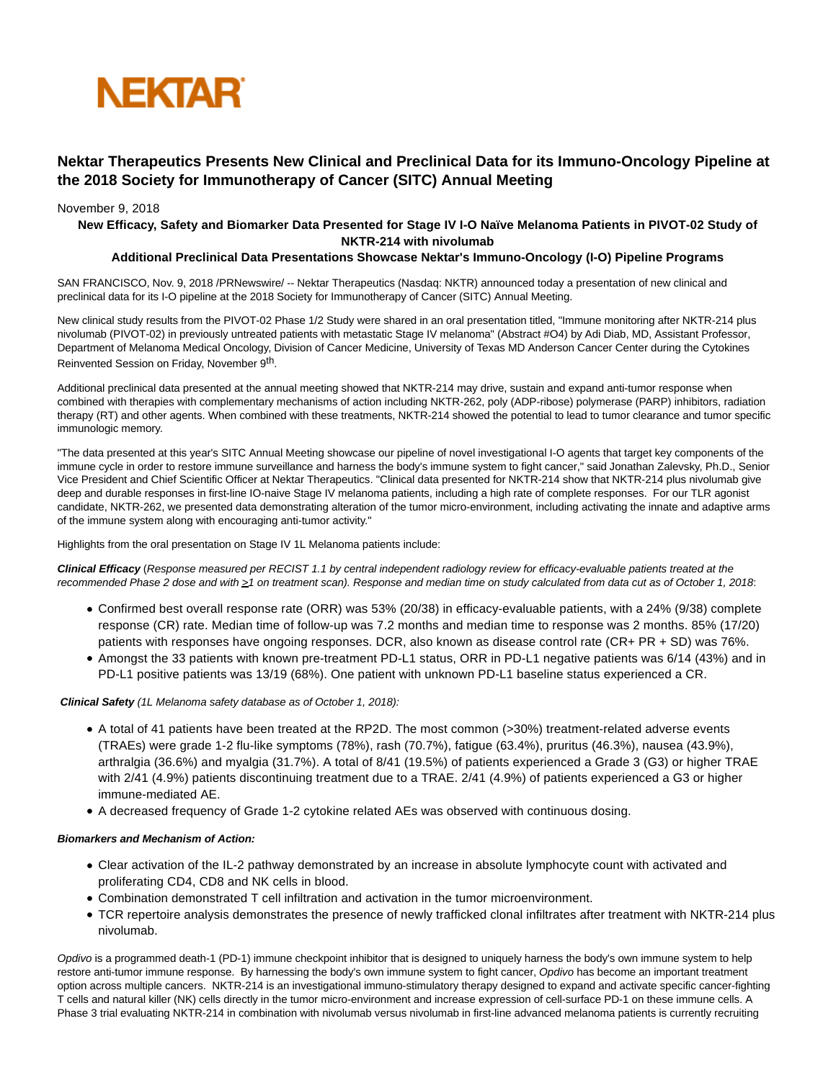

# **Nektar Therapeutics Presents New Clinical and Preclinical Data for its Immuno-Oncology Pipeline at the 2018 Society for Immunotherapy of Cancer (SITC) Annual Meeting**

## November 9, 2018

## **New Efficacy, Safety and Biomarker Data Presented for Stage IV I-O Naïve Melanoma Patients in PIVOT-02 Study of NKTR-214 with nivolumab**

## **Additional Preclinical Data Presentations Showcase Nektar's Immuno-Oncology (I-O) Pipeline Programs**

SAN FRANCISCO, Nov. 9, 2018 /PRNewswire/ -- Nektar Therapeutics (Nasdaq: NKTR) announced today a presentation of new clinical and preclinical data for its I-O pipeline at the 2018 Society for Immunotherapy of Cancer (SITC) Annual Meeting.

New clinical study results from the PIVOT-02 Phase 1/2 Study were shared in an oral presentation titled, "Immune monitoring after NKTR-214 plus nivolumab (PIVOT-02) in previously untreated patients with metastatic Stage IV melanoma" (Abstract #O4) by Adi Diab, MD, Assistant Professor, Department of Melanoma Medical Oncology, Division of Cancer Medicine, University of Texas MD Anderson Cancer Center during the Cytokines Reinvented Session on Friday, November 9th.

Additional preclinical data presented at the annual meeting showed that NKTR-214 may drive, sustain and expand anti-tumor response when combined with therapies with complementary mechanisms of action including NKTR-262, poly (ADP-ribose) polymerase (PARP) inhibitors, radiation therapy (RT) and other agents. When combined with these treatments, NKTR-214 showed the potential to lead to tumor clearance and tumor specific immunologic memory.

"The data presented at this year's SITC Annual Meeting showcase our pipeline of novel investigational I-O agents that target key components of the immune cycle in order to restore immune surveillance and harness the body's immune system to fight cancer," said Jonathan Zalevsky, Ph.D., Senior Vice President and Chief Scientific Officer at Nektar Therapeutics. "Clinical data presented for NKTR-214 show that NKTR-214 plus nivolumab give deep and durable responses in first-line IO-naive Stage IV melanoma patients, including a high rate of complete responses. For our TLR agonist candidate, NKTR-262, we presented data demonstrating alteration of the tumor micro-environment, including activating the innate and adaptive arms of the immune system along with encouraging anti-tumor activity."

Highlights from the oral presentation on Stage IV 1L Melanoma patients include:

**Clinical Efficacy** (Response measured per RECIST 1.1 by central independent radiology review for efficacy-evaluable patients treated at the recommended Phase 2 dose and with  $\geq$ 1 on treatment scan). Response and median time on study calculated from data cut as of October 1, 2018:

- Confirmed best overall response rate (ORR) was 53% (20/38) in efficacy-evaluable patients, with a 24% (9/38) complete response (CR) rate. Median time of follow-up was 7.2 months and median time to response was 2 months. 85% (17/20) patients with responses have ongoing responses. DCR, also known as disease control rate (CR+ PR + SD) was 76%.
- Amongst the 33 patients with known pre-treatment PD-L1 status, ORR in PD-L1 negative patients was 6/14 (43%) and in PD-L1 positive patients was 13/19 (68%). One patient with unknown PD-L1 baseline status experienced a CR.

 **Clinical Safety** (1L Melanoma safety database as of October 1, 2018):

- A total of 41 patients have been treated at the RP2D. The most common (>30%) treatment-related adverse events (TRAEs) were grade 1-2 flu-like symptoms (78%), rash (70.7%), fatigue (63.4%), pruritus (46.3%), nausea (43.9%), arthralgia (36.6%) and myalgia (31.7%). A total of 8/41 (19.5%) of patients experienced a Grade 3 (G3) or higher TRAE with 2/41 (4.9%) patients discontinuing treatment due to a TRAE. 2/41 (4.9%) of patients experienced a G3 or higher immune-mediated AE.
- A decreased frequency of Grade 1-2 cytokine related AEs was observed with continuous dosing.

## **Biomarkers and Mechanism of Action:**

- Clear activation of the IL-2 pathway demonstrated by an increase in absolute lymphocyte count with activated and proliferating CD4, CD8 and NK cells in blood.
- Combination demonstrated T cell infiltration and activation in the tumor microenvironment.
- TCR repertoire analysis demonstrates the presence of newly trafficked clonal infiltrates after treatment with NKTR-214 plus nivolumab.

Opdivo is a programmed death-1 (PD-1) immune checkpoint inhibitor that is designed to uniquely harness the body's own immune system to help restore anti-tumor immune response. By harnessing the body's own immune system to fight cancer, Opdivo has become an important treatment option across multiple cancers. NKTR-214 is an investigational immuno-stimulatory therapy designed to expand and activate specific cancer-fighting T cells and natural killer (NK) cells directly in the tumor micro-environment and increase expression of cell-surface PD-1 on these immune cells. A Phase 3 trial evaluating NKTR-214 in combination with nivolumab versus nivolumab in first-line advanced melanoma patients is currently recruiting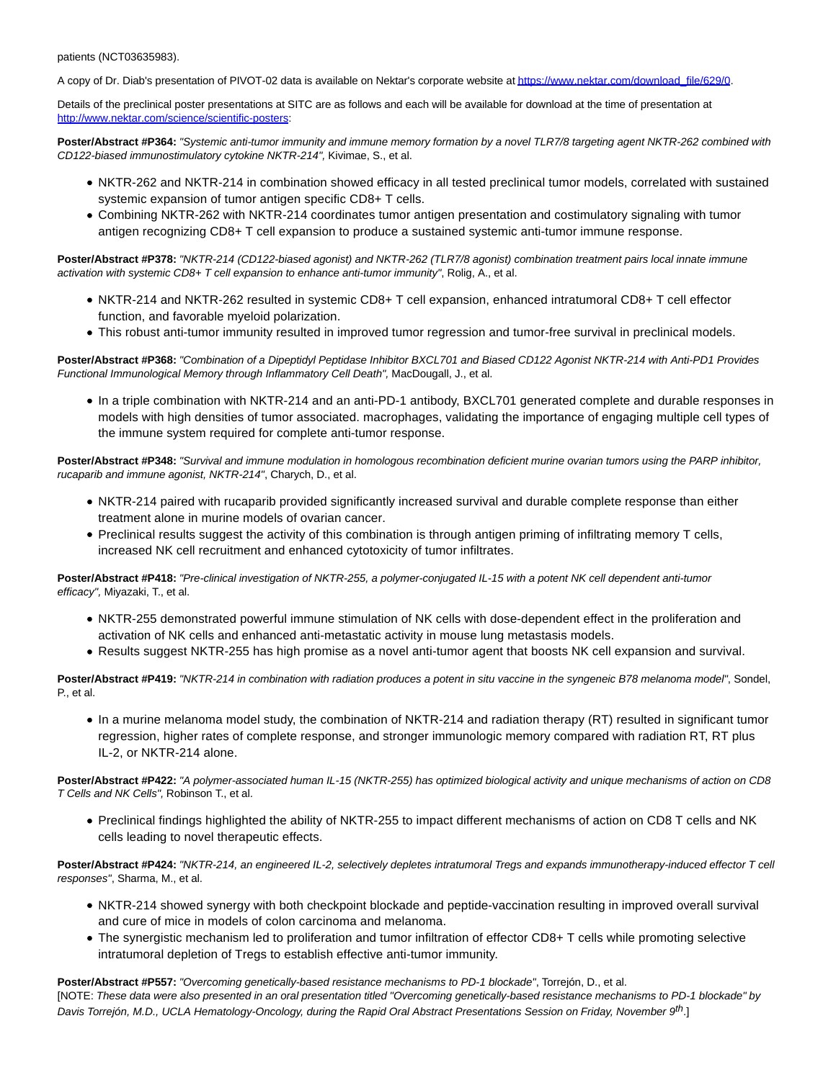patients (NCT03635983).

A copy of Dr. Diab's presentation of PIVOT-02 data is available on Nektar's corporate website a[t https://www.nektar.com/download\\_file/629/0.](https://www.nektar.com/download_file/629/0)

Details of the preclinical poster presentations at SITC are as follows and each will be available for download at the time of presentation at [http://www.nektar.com/science/scientific-posters:](http://www.nektar.com/science/scientific-posters)

**Poster/Abstract #P364:** "Systemic anti-tumor immunity and immune memory formation by a novel TLR7/8 targeting agent NKTR-262 combined with CD122-biased immunostimulatory cytokine NKTR-214", Kivimae, S., et al.

- NKTR-262 and NKTR-214 in combination showed efficacy in all tested preclinical tumor models, correlated with sustained systemic expansion of tumor antigen specific CD8+ T cells.
- Combining NKTR-262 with NKTR-214 coordinates tumor antigen presentation and costimulatory signaling with tumor antigen recognizing CD8+ T cell expansion to produce a sustained systemic anti-tumor immune response.

**Poster/Abstract #P378:** "NKTR-214 (CD122-biased agonist) and NKTR-262 (TLR7/8 agonist) combination treatment pairs local innate immune activation with systemic CD8+ T cell expansion to enhance anti-tumor immunity", Rolig, A., et al.

- NKTR-214 and NKTR-262 resulted in systemic CD8+ T cell expansion, enhanced intratumoral CD8+ T cell effector function, and favorable myeloid polarization.
- This robust anti-tumor immunity resulted in improved tumor regression and tumor-free survival in preclinical models.

**Poster/Abstract #P368:** "Combination of a Dipeptidyl Peptidase Inhibitor BXCL701 and Biased CD122 Agonist NKTR-214 with Anti-PD1 Provides Functional Immunological Memory through Inflammatory Cell Death", MacDougall, J., et al.

In a triple combination with NKTR-214 and an anti-PD-1 antibody, BXCL701 generated complete and durable responses in models with high densities of tumor associated. macrophages, validating the importance of engaging multiple cell types of the immune system required for complete anti-tumor response.

**Poster/Abstract #P348:** "Survival and immune modulation in homologous recombination deficient murine ovarian tumors using the PARP inhibitor, rucaparib and immune agonist, NKTR-214", Charych, D., et al.

- NKTR-214 paired with rucaparib provided significantly increased survival and durable complete response than either treatment alone in murine models of ovarian cancer.
- Preclinical results suggest the activity of this combination is through antigen priming of infiltrating memory T cells, increased NK cell recruitment and enhanced cytotoxicity of tumor infiltrates.

**Poster/Abstract #P418:** "Pre-clinical investigation of NKTR-255, a polymer-conjugated IL-15 with a potent NK cell dependent anti-tumor efficacy", Miyazaki, T., et al.

- NKTR-255 demonstrated powerful immune stimulation of NK cells with dose-dependent effect in the proliferation and activation of NK cells and enhanced anti-metastatic activity in mouse lung metastasis models.
- Results suggest NKTR-255 has high promise as a novel anti-tumor agent that boosts NK cell expansion and survival.

Poster/Abstract #P419: "NKTR-214 in combination with radiation produces a potent in situ vaccine in the syngeneic B78 melanoma model", Sondel, P., et al.

In a murine melanoma model study, the combination of NKTR-214 and radiation therapy (RT) resulted in significant tumor regression, higher rates of complete response, and stronger immunologic memory compared with radiation RT, RT plus IL-2, or NKTR-214 alone.

**Poster/Abstract #P422:** "A polymer-associated human IL-15 (NKTR-255) has optimized biological activity and unique mechanisms of action on CD8 T Cells and NK Cells", Robinson T., et al.

Preclinical findings highlighted the ability of NKTR-255 to impact different mechanisms of action on CD8 T cells and NK cells leading to novel therapeutic effects.

**Poster/Abstract #P424:** "NKTR-214, an engineered IL-2, selectively depletes intratumoral Tregs and expands immunotherapy-induced effector T cell responses", Sharma, M., et al.

- NKTR-214 showed synergy with both checkpoint blockade and peptide-vaccination resulting in improved overall survival and cure of mice in models of colon carcinoma and melanoma.
- The synergistic mechanism led to proliferation and tumor infiltration of effector CD8+ T cells while promoting selective intratumoral depletion of Tregs to establish effective anti-tumor immunity.

**Poster/Abstract #P557:** "Overcoming genetically-based resistance mechanisms to PD-1 blockade", Torrejón, D., et al. [NOTE: These data were also presented in an oral presentation titled "Overcoming genetically-based resistance mechanisms to PD-1 blockade" by Davis Torrejón, M.D., UCLA Hematology-Oncology, during the Rapid Oral Abstract Presentations Session on Friday, November 9<sup>th</sup>.]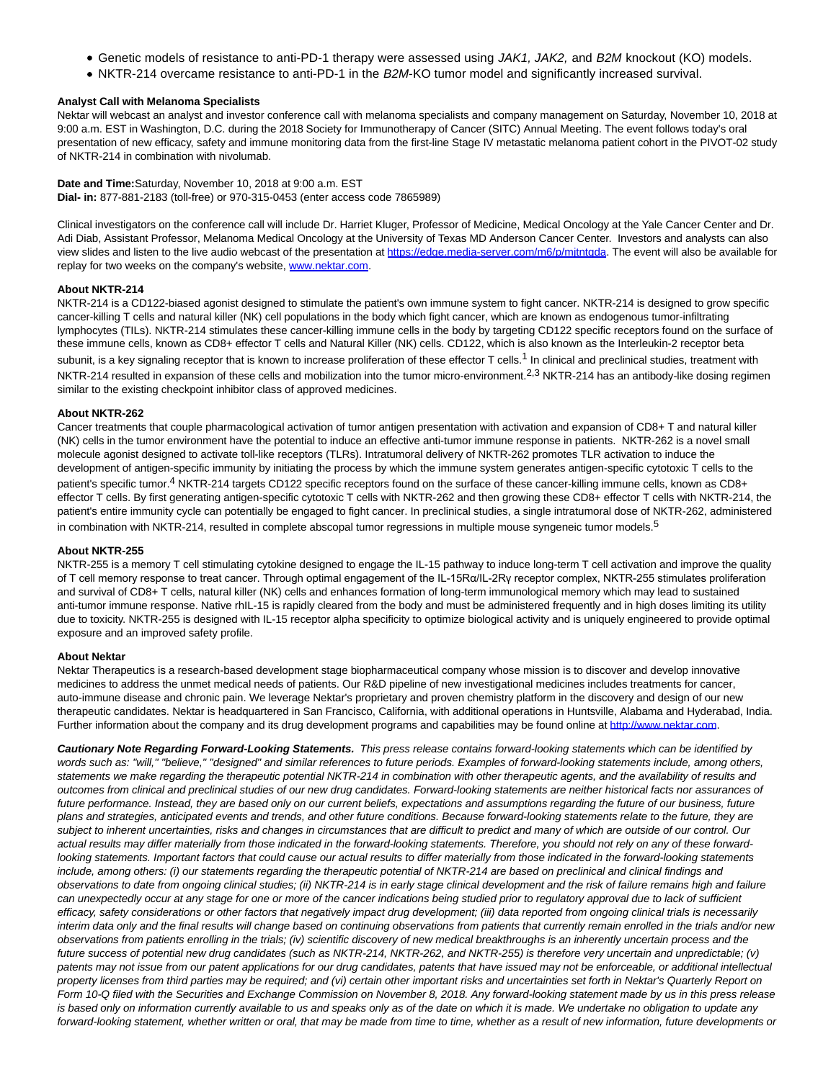- Genetic models of resistance to anti-PD-1 therapy were assessed using JAK1, JAK2, and B2M knockout (KO) models.
- NKTR-214 overcame resistance to anti-PD-1 in the B2M-KO tumor model and significantly increased survival.

## **Analyst Call with Melanoma Specialists**

Nektar will webcast an analyst and investor conference call with melanoma specialists and company management on Saturday, November 10, 2018 at 9:00 a.m. EST in Washington, D.C. during the 2018 Society for Immunotherapy of Cancer (SITC) Annual Meeting. The event follows today's oral presentation of new efficacy, safety and immune monitoring data from the first-line Stage IV metastatic melanoma patient cohort in the PIVOT-02 study of NKTR-214 in combination with nivolumab.

## **Date and Time:**Saturday, November 10, 2018 at 9:00 a.m. EST

**Dial- in:** 877-881-2183 (toll-free) or 970-315-0453 (enter access code 7865989)

Clinical investigators on the conference call will include Dr. Harriet Kluger, Professor of Medicine, Medical Oncology at the Yale Cancer Center and Dr. Adi Diab, Assistant Professor, Melanoma Medical Oncology at the University of Texas MD Anderson Cancer Center. Investors and analysts can also view slides and listen to the live audio webcast of the presentation at [https://edge.media-server.com/m6/p/mjtntqda.](https://edge.media-server.com/m6/p/mjtntqda) The event will also be available for replay for two weeks on the company's website, [www.nektar.com.](http://www.nektar.com/)

#### **About NKTR-214**

NKTR-214 is a CD122-biased agonist designed to stimulate the patient's own immune system to fight cancer. NKTR-214 is designed to grow specific cancer-killing T cells and natural killer (NK) cell populations in the body which fight cancer, which are known as endogenous tumor-infiltrating lymphocytes (TILs). NKTR-214 stimulates these cancer-killing immune cells in the body by targeting CD122 specific receptors found on the surface of these immune cells, known as CD8+ effector T cells and Natural Killer (NK) cells. CD122, which is also known as the Interleukin-2 receptor beta subunit, is a key signaling receptor that is known to increase proliferation of these effector  $T$  cells.<sup>1</sup> In clinical and preclinical studies, treatment with NKTR-214 resulted in expansion of these cells and mobilization into the tumor micro-environment.<sup>2,3</sup> NKTR-214 has an antibody-like dosing regimen similar to the existing checkpoint inhibitor class of approved medicines.

#### **About NKTR-262**

Cancer treatments that couple pharmacological activation of tumor antigen presentation with activation and expansion of CD8+ T and natural killer (NK) cells in the tumor environment have the potential to induce an effective anti-tumor immune response in patients. NKTR-262 is a novel small molecule agonist designed to activate toll-like receptors (TLRs). Intratumoral delivery of NKTR-262 promotes TLR activation to induce the development of antigen-specific immunity by initiating the process by which the immune system generates antigen-specific cytotoxic T cells to the patient's specific tumor.<sup>4</sup> NKTR-214 targets CD122 specific receptors found on the surface of these cancer-killing immune cells, known as CD8+ effector T cells. By first generating antigen-specific cytotoxic T cells with NKTR-262 and then growing these CD8+ effector T cells with NKTR-214, the patient's entire immunity cycle can potentially be engaged to fight cancer. In preclinical studies, a single intratumoral dose of NKTR-262, administered in combination with NKTR-214, resulted in complete abscopal tumor regressions in multiple mouse syngeneic tumor models.<sup>5</sup>

#### **About NKTR-255**

NKTR-255 is a memory T cell stimulating cytokine designed to engage the IL-15 pathway to induce long-term T cell activation and improve the quality of T cell memory response to treat cancer. Through optimal engagement of the IL-15Rα/IL-2Rγ receptor complex, NKTR-255 stimulates proliferation and survival of CD8+ T cells, natural killer (NK) cells and enhances formation of long-term immunological memory which may lead to sustained anti-tumor immune response. Native rhIL-15 is rapidly cleared from the body and must be administered frequently and in high doses limiting its utility due to toxicity. NKTR-255 is designed with IL-15 receptor alpha specificity to optimize biological activity and is uniquely engineered to provide optimal exposure and an improved safety profile.

#### **About Nektar**

Nektar Therapeutics is a research-based development stage biopharmaceutical company whose mission is to discover and develop innovative medicines to address the unmet medical needs of patients. Our R&D pipeline of new investigational medicines includes treatments for cancer, auto-immune disease and chronic pain. We leverage Nektar's proprietary and proven chemistry platform in the discovery and design of our new therapeutic candidates. Nektar is headquartered in San Francisco, California, with additional operations in Huntsville, Alabama and Hyderabad, India. Further information about the company and its drug development programs and capabilities may be found online at [http://www.nektar.com.](http://www.nektar.com/)

**Cautionary Note Regarding Forward-Looking Statements.** This press release contains forward-looking statements which can be identified by words such as: "will," "believe," "designed" and similar references to future periods. Examples of forward-looking statements include, among others, statements we make regarding the therapeutic potential NKTR-214 in combination with other therapeutic agents, and the availability of results and outcomes from clinical and preclinical studies of our new drug candidates. Forward-looking statements are neither historical facts nor assurances of future performance. Instead, they are based only on our current beliefs, expectations and assumptions regarding the future of our business, future plans and strategies, anticipated events and trends, and other future conditions. Because forward-looking statements relate to the future, they are subject to inherent uncertainties, risks and changes in circumstances that are difficult to predict and many of which are outside of our control. Our actual results may differ materially from those indicated in the forward-looking statements. Therefore, you should not rely on any of these forwardlooking statements. Important factors that could cause our actual results to differ materially from those indicated in the forward-looking statements include, among others: (i) our statements regarding the therapeutic potential of NKTR-214 are based on preclinical and clinical findings and observations to date from ongoing clinical studies; (ii) NKTR-214 is in early stage clinical development and the risk of failure remains high and failure can unexpectedly occur at any stage for one or more of the cancer indications being studied prior to regulatory approval due to lack of sufficient efficacy, safety considerations or other factors that negatively impact drug development; (iii) data reported from ongoing clinical trials is necessarily interim data only and the final results will change based on continuing observations from patients that currently remain enrolled in the trials and/or new observations from patients enrolling in the trials; (iv) scientific discovery of new medical breakthroughs is an inherently uncertain process and the future success of potential new drug candidates (such as NKTR-214, NKTR-262, and NKTR-255) is therefore very uncertain and unpredictable; (v) patents may not issue from our patent applications for our drug candidates, patents that have issued may not be enforceable, or additional intellectual property licenses from third parties may be required; and (vi) certain other important risks and uncertainties set forth in Nektar's Quarterly Report on Form 10-Q filed with the Securities and Exchange Commission on November 8, 2018. Any forward-looking statement made by us in this press release is based only on information currently available to us and speaks only as of the date on which it is made. We undertake no obligation to update any forward-looking statement, whether written or oral, that may be made from time to time, whether as a result of new information, future developments or